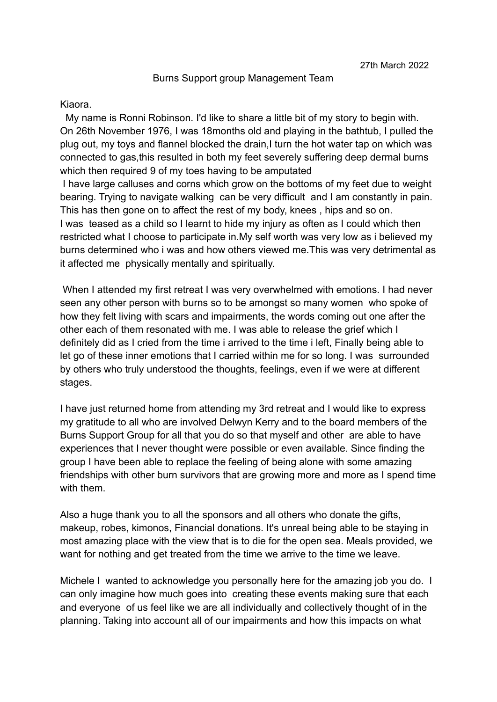## Burns Support group Management Team

## Kiaora.

My name is Ronni Robinson. I'd like to share a little bit of my story to begin with. On 26th November 1976, I was 18months old and playing in the bathtub, I pulled the plug out, my toys and flannel blocked the drain,I turn the hot water tap on which was connected to gas,this resulted in both my feet severely suffering deep dermal burns which then required 9 of my toes having to be amputated

I have large calluses and corns which grow on the bottoms of my feet due to weight bearing. Trying to navigate walking can be very difficult and I am constantly in pain. This has then gone on to affect the rest of my body, knees , hips and so on. I was teased as a child so I learnt to hide my injury as often as I could which then restricted what I choose to participate in.My self worth was very low as i believed my burns determined who i was and how others viewed me.This was very detrimental as it affected me physically mentally and spiritually.

When I attended my first retreat I was very overwhelmed with emotions. I had never seen any other person with burns so to be amongst so many women who spoke of how they felt living with scars and impairments, the words coming out one after the other each of them resonated with me. I was able to release the grief which I definitely did as I cried from the time i arrived to the time i left, Finally being able to let go of these inner emotions that I carried within me for so long. I was surrounded by others who truly understood the thoughts, feelings, even if we were at different stages.

I have just returned home from attending my 3rd retreat and I would like to express my gratitude to all who are involved Delwyn Kerry and to the board members of the Burns Support Group for all that you do so that myself and other are able to have experiences that I never thought were possible or even available. Since finding the group I have been able to replace the feeling of being alone with some amazing friendships with other burn survivors that are growing more and more as I spend time with them.

Also a huge thank you to all the sponsors and all others who donate the gifts, makeup, robes, kimonos, Financial donations. It's unreal being able to be staying in most amazing place with the view that is to die for the open sea. Meals provided, we want for nothing and get treated from the time we arrive to the time we leave.

Michele I wanted to acknowledge you personally here for the amazing job you do. I can only imagine how much goes into creating these events making sure that each and everyone of us feel like we are all individually and collectively thought of in the planning. Taking into account all of our impairments and how this impacts on what